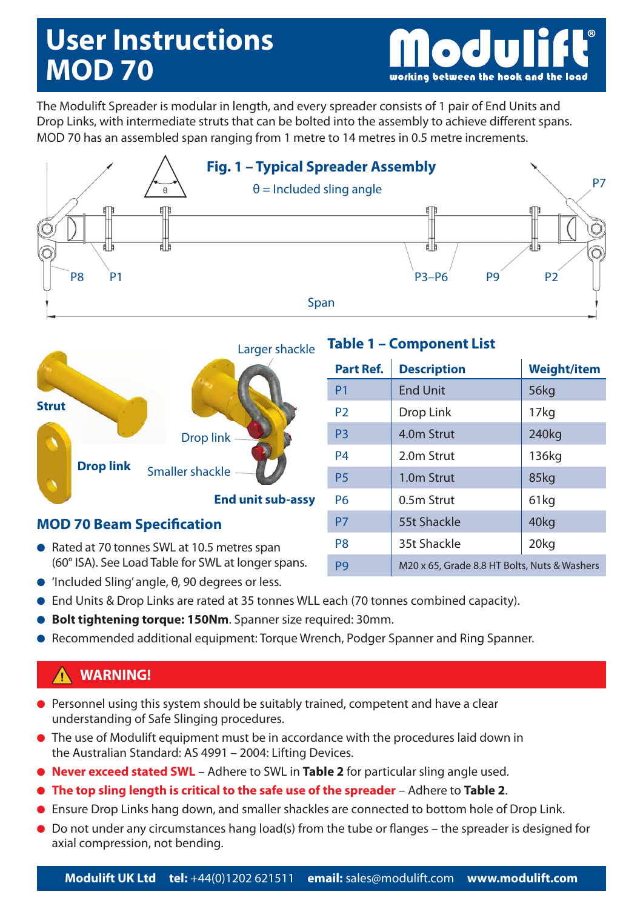# **User Instructions MOD 70**

working between the hook and the load

The Modulift Spreader is modular in length, and every spreader consists of 1 pair of End Units and Drop Links, with intermediate struts that can be bolted into the assembly to achieve different spans. MOD 70 has an assembled span ranging from 1 metre to 14 metres in 0.5 metre increments.





### **MOD 70 Beam Specification**

- Rated at 70 tonnes SWL at 10.5 metres span (60° ISA). See Load Table for SWL at longer spans.
- 'Included Sling' angle, θ, 90 degrees or less.

## **Table 1 – Component List**

| <b>Part Ref.</b> | <b>Description</b>                           | <b>Weight/item</b> |
|------------------|----------------------------------------------|--------------------|
| P <sub>1</sub>   | <b>End Unit</b>                              | <b>56kg</b>        |
| P <sub>2</sub>   | Drop Link                                    | 17 <sub>kg</sub>   |
| P <sub>3</sub>   | 4.0 <sub>m</sub> Strut                       | 240kg              |
| P4               | 2.0m Strut                                   | 136kg              |
| <b>P5</b>        | 1.0m Strut                                   | 85kg               |
| P6               | 0.5m Strut                                   | 61kg               |
| <b>P7</b>        | 55t Shackle                                  | 40kg               |
| P8               | 35t Shackle                                  | 20kg               |
| P <sub>9</sub>   | M20 x 65, Grade 8.8 HT Bolts, Nuts & Washers |                    |

- End Units & Drop Links are rated at 35 tonnes WLL each (70 tonnes combined capacity).
- **Bolt tightening torque: 150Nm**. Spanner size required: 30mm.
- Recommended additional equipment: Torque Wrench, Podger Spanner and Ring Spanner.

### **WARNING!**

- Personnel using this system should be suitably trained, competent and have a clear understanding of Safe Slinging procedures.
- The use of Modulift equipment must be in accordance with the procedures laid down in the Australian Standard: AS 4991 – 2004: Lifting Devices.
- **Never exceed stated SWL** Adhere to SWL in **Table 2** for particular sling angle used.
- **The top sling length is critical to the safe use of the spreader** Adhere to **Table 2**.
- Ensure Drop Links hang down, and smaller shackles are connected to bottom hole of Drop Link.
- Do not under any circumstances hang load(s) from the tube or flanges the spreader is designed for axial compression, not bending.